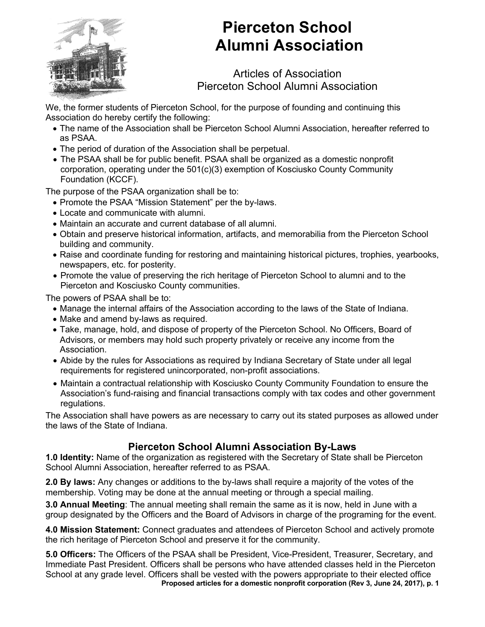

## **Pierceton School Alumni Association**

Articles of Association Pierceton School Alumni Association

We, the former students of Pierceton School, for the purpose of founding and continuing this Association do hereby certify the following:

- The name of the Association shall be Pierceton School Alumni Association, hereafter referred to as PSAA.
- The period of duration of the Association shall be perpetual.
- The PSAA shall be for public benefit. PSAA shall be organized as a domestic nonprofit corporation, operating under the 501(c)(3) exemption of Kosciusko County Community Foundation (KCCF).

The purpose of the PSAA organization shall be to:

- Promote the PSAA "Mission Statement" per the by-laws.
- Locate and communicate with alumni.
- Maintain an accurate and current database of all alumni.
- Obtain and preserve historical information, artifacts, and memorabilia from the Pierceton School building and community.
- Raise and coordinate funding for restoring and maintaining historical pictures, trophies, yearbooks, newspapers, etc. for posterity.
- Promote the value of preserving the rich heritage of Pierceton School to alumni and to the Pierceton and Kosciusko County communities.

The powers of PSAA shall be to:

- Manage the internal affairs of the Association according to the laws of the State of Indiana.
- Make and amend by-laws as required.
- Take, manage, hold, and dispose of property of the Pierceton School. No Officers, Board of Advisors, or members may hold such property privately or receive any income from the Association.
- Abide by the rules for Associations as required by Indiana Secretary of State under all legal requirements for registered unincorporated, non-profit associations.
- Maintain a contractual relationship with Kosciusko County Community Foundation to ensure the Association's fund-raising and financial transactions comply with tax codes and other government regulations.

The Association shall have powers as are necessary to carry out its stated purposes as allowed under the laws of the State of Indiana.

## **Pierceton School Alumni Association By-Laws**

**1.0 Identity:** Name of the organization as registered with the Secretary of State shall be Pierceton School Alumni Association, hereafter referred to as PSAA.

**2.0 By laws:** Any changes or additions to the by-laws shall require a majority of the votes of the membership. Voting may be done at the annual meeting or through a special mailing.

**3.0 Annual Meeting**: The annual meeting shall remain the same as it is now, held in June with a group designated by the Officers and the Board of Advisors in charge of the programing for the event.

**4.0 Mission Statement:** Connect graduates and attendees of Pierceton School and actively promote the rich heritage of Pierceton School and preserve it for the community.

**Proposed articles for a domestic nonprofit corporation (Rev 3, June 24, 2017), p. 1 5.0 Officers:** The Officers of the PSAA shall be President, Vice-President, Treasurer, Secretary, and Immediate Past President. Officers shall be persons who have attended classes held in the Pierceton School at any grade level. Officers shall be vested with the powers appropriate to their elected office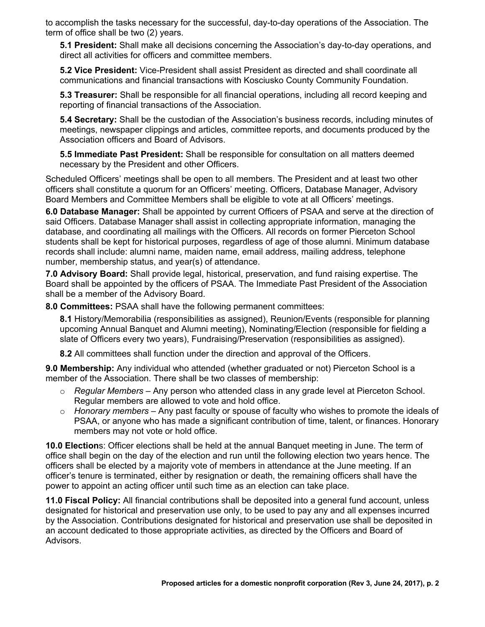to accomplish the tasks necessary for the successful, day-to-day operations of the Association. The term of office shall be two (2) years.

**5.1 President:** Shall make all decisions concerning the Association's day-to-day operations, and direct all activities for officers and committee members.

**5.2 Vice President:** Vice-President shall assist President as directed and shall coordinate all communications and financial transactions with Kosciusko County Community Foundation.

**5.3 Treasurer:** Shall be responsible for all financial operations, including all record keeping and reporting of financial transactions of the Association.

**5.4 Secretary:** Shall be the custodian of the Association's business records, including minutes of meetings, newspaper clippings and articles, committee reports, and documents produced by the Association officers and Board of Advisors.

**5.5 Immediate Past President:** Shall be responsible for consultation on all matters deemed necessary by the President and other Officers.

Scheduled Officers' meetings shall be open to all members. The President and at least two other officers shall constitute a quorum for an Officers' meeting. Officers, Database Manager, Advisory Board Members and Committee Members shall be eligible to vote at all Officers' meetings.

**6.0 Database Manager:** Shall be appointed by current Officers of PSAA and serve at the direction of said Officers. Database Manager shall assist in collecting appropriate information, managing the database, and coordinating all mailings with the Officers. All records on former Pierceton School students shall be kept for historical purposes, regardless of age of those alumni. Minimum database records shall include: alumni name, maiden name, email address, mailing address, telephone number, membership status, and year(s) of attendance.

**7.0 Advisory Board:** Shall provide legal, historical, preservation, and fund raising expertise. The Board shall be appointed by the officers of PSAA. The Immediate Past President of the Association shall be a member of the Advisory Board.

**8.0 Committees:** PSAA shall have the following permanent committees:

**8.1** History/Memorabilia (responsibilities as assigned), Reunion/Events (responsible for planning upcoming Annual Banquet and Alumni meeting), Nominating/Election (responsible for fielding a slate of Officers every two years), Fundraising/Preservation (responsibilities as assigned).

**8.2** All committees shall function under the direction and approval of the Officers.

**9.0 Membership:** Any individual who attended (whether graduated or not) Pierceton School is a member of the Association. There shall be two classes of membership:

- o *Regular Members* Any person who attended class in any grade level at Pierceton School. Regular members are allowed to vote and hold office.
- o *Honorary members* Any past faculty or spouse of faculty who wishes to promote the ideals of PSAA, or anyone who has made a significant contribution of time, talent, or finances. Honorary members may not vote or hold office.

**10.0 Election**s: Officer elections shall be held at the annual Banquet meeting in June. The term of office shall begin on the day of the election and run until the following election two years hence. The officers shall be elected by a majority vote of members in attendance at the June meeting. If an officer's tenure is terminated, either by resignation or death, the remaining officers shall have the power to appoint an acting officer until such time as an election can take place.

**11.0 Fiscal Policy:** All financial contributions shall be deposited into a general fund account, unless designated for historical and preservation use only, to be used to pay any and all expenses incurred by the Association. Contributions designated for historical and preservation use shall be deposited in an account dedicated to those appropriate activities, as directed by the Officers and Board of Advisors.